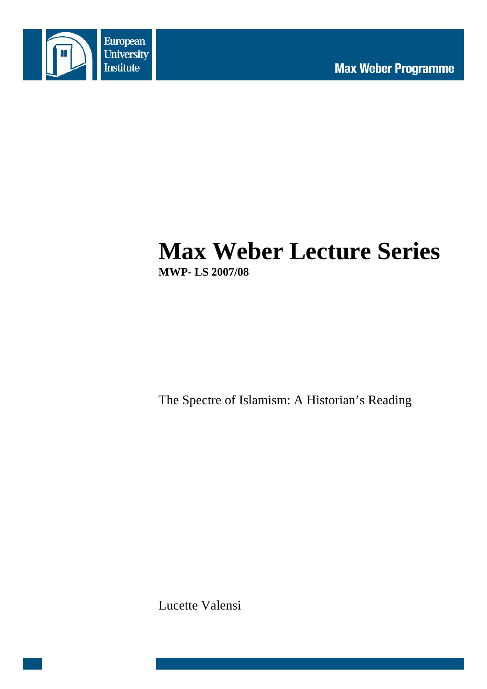

# **Max Weber Lecture Series MWP- LS 2007/08**

The Spectre of Islamism: A Historian's Reading

Lucette Valensi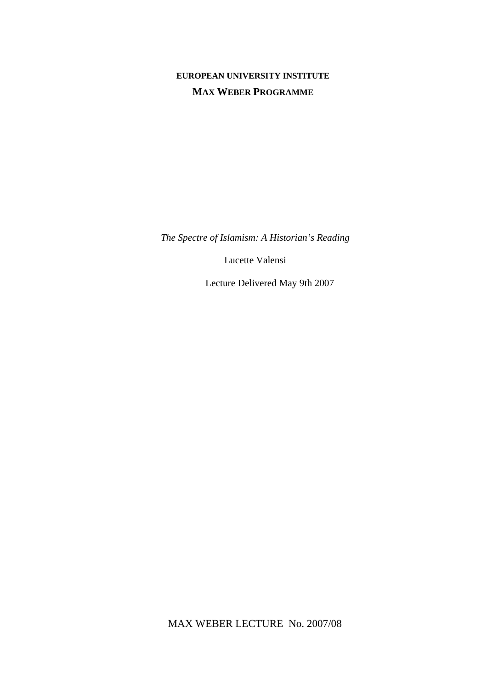# **EUROPEAN UNIVERSITY INSTITUTE MAX WEBER PROGRAMME**

*The Spectre of Islamism: A Historian's Reading* 

Lucette Valensi

Lecture Delivered May 9th 2007

MAX WEBER LECTURE No. 2007/08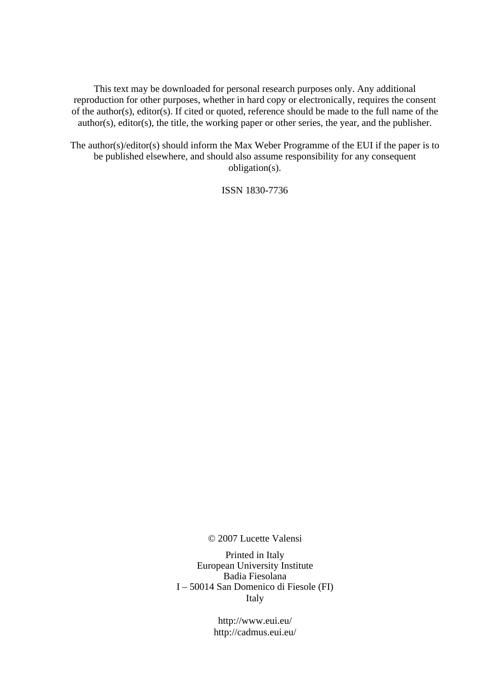This text may be downloaded for personal research purposes only. Any additional reproduction for other purposes, whether in hard copy or electronically, requires the consent of the author(s), editor(s). If cited or quoted, reference should be made to the full name of the author(s), editor(s), the title, the working paper or other series, the year, and the publisher.

The author(s)/editor(s) should inform the Max Weber Programme of the EUI if the paper is to be published elsewhere, and should also assume responsibility for any consequent obligation(s).

ISSN 1830-7736

© 2007 Lucette Valensi

Printed in Italy European University Institute Badia Fiesolana I – 50014 San Domenico di Fiesole (FI) Italy

> http://www.eui.eu/ http://cadmus.eui.eu/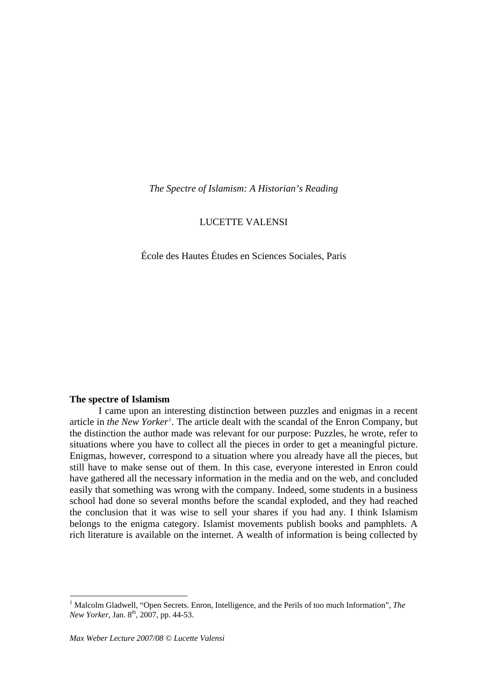<span id="page-6-0"></span>*The Spectre of Islamism: A Historian's Reading* 

# LUCETTE VALENSI

École des Hautes Études en Sciences Sociales, Paris

#### **The spectre of Islamism**

I came upon an interesting distinction between puzzles and enigmas in a recent article in *the New Yorker[1](#page-6-0) .* The article dealt with the scandal of the Enron Company, but the distinction the author made was relevant for our purpose: Puzzles, he wrote, refer to situations where you have to collect all the pieces in order to get a meaningful picture. Enigmas, however, correspond to a situation where you already have all the pieces, but still have to make sense out of them. In this case, everyone interested in Enron could have gathered all the necessary information in the media and on the web, and concluded easily that something was wrong with the company. Indeed, some students in a business school had done so several months before the scandal exploded, and they had reached the conclusion that it was wise to sell your shares if you had any. I think Islamism belongs to the enigma category. Islamist movements publish books and pamphlets. A rich literature is available on the internet. A wealth of information is being collected by

<sup>&</sup>lt;sup>1</sup> Malcolm Gladwell, "Open Secrets. Enron, Intelligence, and the Perils of too much Information", *The New Yorker*, Jan. 8<sup>th</sup>, 2007, pp. 44-53.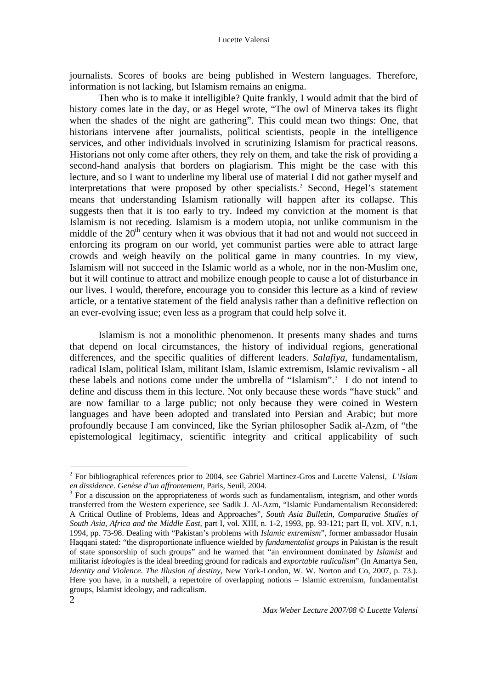<span id="page-7-0"></span>journalists. Scores of books are being published in Western languages. Therefore, information is not lacking, but Islamism remains an enigma.

Then who is to make it intelligible? Quite frankly, I would admit that the bird of history comes late in the day, or as Hegel wrote, "The owl of Minerva takes its flight when the shades of the night are gathering". This could mean two things: One, that historians intervene after journalists, political scientists, people in the intelligence services, and other individuals involved in scrutinizing Islamism for practical reasons. Historians not only come after others, they rely on them, and take the risk of providing a second-hand analysis that borders on plagiarism. This might be the case with this lecture, and so I want to underline my liberal use of material I did not gather myself and interpretations that were proposed by other specialists.<sup>[2](#page-7-0)</sup> Second, Hegel's statement means that understanding Islamism rationally will happen after its collapse. This suggests then that it is too early to try. Indeed my conviction at the moment is that Islamism is not receding. Islamism is a modern utopia, not unlike communism in the middle of the  $20<sup>th</sup>$  century when it was obvious that it had not and would not succeed in enforcing its program on our world, yet communist parties were able to attract large crowds and weigh heavily on the political game in many countries. In my view, Islamism will not succeed in the Islamic world as a whole, nor in the non-Muslim one, but it will continue to attract and mobilize enough people to cause a lot of disturbance in our lives. I would, therefore, encourage you to consider this lecture as a kind of review article, or a tentative statement of the field analysis rather than a definitive reflection on an ever-evolving issue; even less as a program that could help solve it.

Islamism is not a monolithic phenomenon. It presents many shades and turns that depend on local circumstances, the history of individual regions, generational differences, and the specific qualities of different leaders. *Salafiya*, fundamentalism, radical Islam, political Islam, militant Islam, Islamic extremism, Islamic revivalism - all these labels and notions come under the umbrella of "Islamism".[3](#page-7-0) I do not intend to define and discuss them in this lecture. Not only because these words "have stuck" and are now familiar to a large public; not only because they were coined in Western languages and have been adopted and translated into Persian and Arabic; but more profoundly because I am convinced, like the Syrian philosopher Sadik al-Azm, of "the epistemological legitimacy, scientific integrity and critical applicability of such

<sup>2</sup> For bibliographical references prior to 2004, see Gabriel Martinez-Gros and Lucette Valensi, *L'Islam en dissidence. Genèse d'un affrontement,* Paris, Seuil, 2004. 3

 $3$  For a discussion on the appropriateness of words such as fundamentalism, integrism, and other words transferred from the Western experience, see Sadik J. Al-Azm, "Islamic Fundamentalism Reconsidered: A Critical Outline of Problems, Ideas and Approaches", *South Asia Bulletin, Comparative Studies of South Asia, Africa and the Middle East,* part I, vol. XIII, n. 1-2, 1993, pp. 93-121; part II, vol. XIV, n.1, 1994, pp. 73-98. Dealing with "Pakistan's problems with *Islamic extremism*", former ambassador Husain Haqqani stated: "the disproportionate influence wielded by *fundamentalist groups* in Pakistan is the result of state sponsorship of such groups" and he warned that "an environment dominated by *Islamist* and militarist *ideologies* is the ideal breeding ground for radicals and *exportable radicalism*" (In Amartya Sen, *Identity and Violence. The Illusion of destiny, New York-London, W. W. Norton and Co, 2007, p. 73.).* Here you have, in a nutshell, a repertoire of overlapping notions – Islamic extremism, fundamentalist groups, Islamist ideology, and radicalism.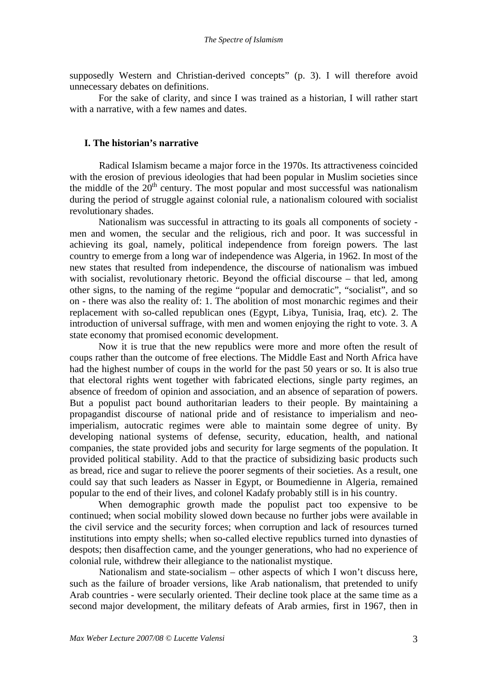supposedly Western and Christian-derived concepts" (p. 3). I will therefore avoid unnecessary debates on definitions.

For the sake of clarity, and since I was trained as a historian, I will rather start with a narrative, with a few names and dates.

### **I. The historian's narrative**

Radical Islamism became a major force in the 1970s. Its attractiveness coincided with the erosion of previous ideologies that had been popular in Muslim societies since the middle of the  $20<sup>th</sup>$  century. The most popular and most successful was nationalism during the period of struggle against colonial rule, a nationalism coloured with socialist revolutionary shades.

Nationalism was successful in attracting to its goals all components of society men and women, the secular and the religious, rich and poor. It was successful in achieving its goal, namely, political independence from foreign powers. The last country to emerge from a long war of independence was Algeria, in 1962. In most of the new states that resulted from independence, the discourse of nationalism was imbued with socialist, revolutionary rhetoric. Beyond the official discourse – that led, among other signs, to the naming of the regime "popular and democratic", "socialist", and so on - there was also the reality of: 1. The abolition of most monarchic regimes and their replacement with so-called republican ones (Egypt, Libya, Tunisia, Iraq, etc). 2. The introduction of universal suffrage, with men and women enjoying the right to vote. 3. A state economy that promised economic development.

Now it is true that the new republics were more and more often the result of coups rather than the outcome of free elections. The Middle East and North Africa have had the highest number of coups in the world for the past 50 years or so. It is also true that electoral rights went together with fabricated elections, single party regimes, an absence of freedom of opinion and association, and an absence of separation of powers. But a populist pact bound authoritarian leaders to their people. By maintaining a propagandist discourse of national pride and of resistance to imperialism and neoimperialism, autocratic regimes were able to maintain some degree of unity. By developing national systems of defense, security, education, health, and national companies, the state provided jobs and security for large segments of the population. It provided political stability. Add to that the practice of subsidizing basic products such as bread, rice and sugar to relieve the poorer segments of their societies. As a result, one could say that such leaders as Nasser in Egypt, or Boumedienne in Algeria, remained popular to the end of their lives, and colonel Kadafy probably still is in his country.

 When demographic growth made the populist pact too expensive to be continued; when social mobility slowed down because no further jobs were available in the civil service and the security forces; when corruption and lack of resources turned institutions into empty shells; when so-called elective republics turned into dynasties of despots; then disaffection came, and the younger generations, who had no experience of colonial rule, withdrew their allegiance to the nationalist mystique.

Nationalism and state-socialism – other aspects of which I won't discuss here, such as the failure of broader versions, like Arab nationalism, that pretended to unify Arab countries - were secularly oriented. Their decline took place at the same time as a second major development, the military defeats of Arab armies, first in 1967, then in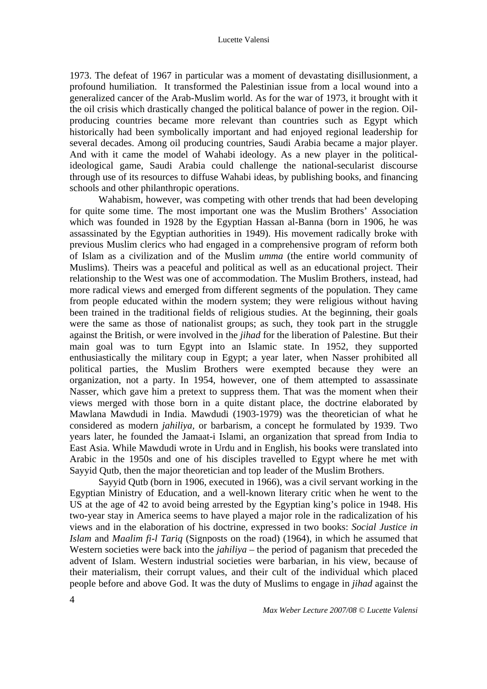1973. The defeat of 1967 in particular was a moment of devastating disillusionment, a profound humiliation. It transformed the Palestinian issue from a local wound into a generalized cancer of the Arab-Muslim world. As for the war of 1973, it brought with it the oil crisis which drastically changed the political balance of power in the region. Oilproducing countries became more relevant than countries such as Egypt which historically had been symbolically important and had enjoyed regional leadership for several decades. Among oil producing countries, Saudi Arabia became a major player. And with it came the model of Wahabi ideology. As a new player in the politicalideological game, Saudi Arabia could challenge the national-secularist discourse through use of its resources to diffuse Wahabi ideas, by publishing books, and financing schools and other philanthropic operations.

Wahabism, however, was competing with other trends that had been developing for quite some time. The most important one was the Muslim Brothers' Association which was founded in 1928 by the Egyptian Hassan al-Banna (born in 1906, he was assassinated by the Egyptian authorities in 1949). His movement radically broke with previous Muslim clerics who had engaged in a comprehensive program of reform both of Islam as a civilization and of the Muslim *umma* (the entire world community of Muslims). Theirs was a peaceful and political as well as an educational project. Their relationship to the West was one of accommodation. The Muslim Brothers, instead, had more radical views and emerged from different segments of the population. They came from people educated within the modern system; they were religious without having been trained in the traditional fields of religious studies. At the beginning, their goals were the same as those of nationalist groups; as such, they took part in the struggle against the British, or were involved in the *jihad* for the liberation of Palestine. But their main goal was to turn Egypt into an Islamic state. In 1952, they supported enthusiastically the military coup in Egypt; a year later, when Nasser prohibited all political parties, the Muslim Brothers were exempted because they were an organization, not a party. In 1954, however, one of them attempted to assassinate Nasser, which gave him a pretext to suppress them. That was the moment when their views merged with those born in a quite distant place, the doctrine elaborated by Mawlana Mawdudi in India. Mawdudi (1903-1979) was the theoretician of what he considered as modern *jahiliya,* or barbarism, a concept he formulated by 1939. Two years later, he founded the Jamaat-i Islami, an organization that spread from India to East Asia. While Mawdudi wrote in Urdu and in English, his books were translated into Arabic in the 1950s and one of his disciples travelled to Egypt where he met with Sayyid Qutb, then the major theoretician and top leader of the Muslim Brothers.

Sayyid Qutb (born in 1906, executed in 1966), was a civil servant working in the Egyptian Ministry of Education, and a well-known literary critic when he went to the US at the age of 42 to avoid being arrested by the Egyptian king's police in 1948. His two-year stay in America seems to have played a major role in the radicalization of his views and in the elaboration of his doctrine, expressed in two books: *Social Justice in Islam* and *Maalim fi-l Tariq* (Signposts on the road) (1964), in which he assumed that Western societies were back into the *jahiliya* – the period of paganism that preceded the advent of Islam. Western industrial societies were barbarian, in his view, because of their materialism, their corrupt values, and their cult of the individual which placed people before and above God. It was the duty of Muslims to engage in *jihad* against the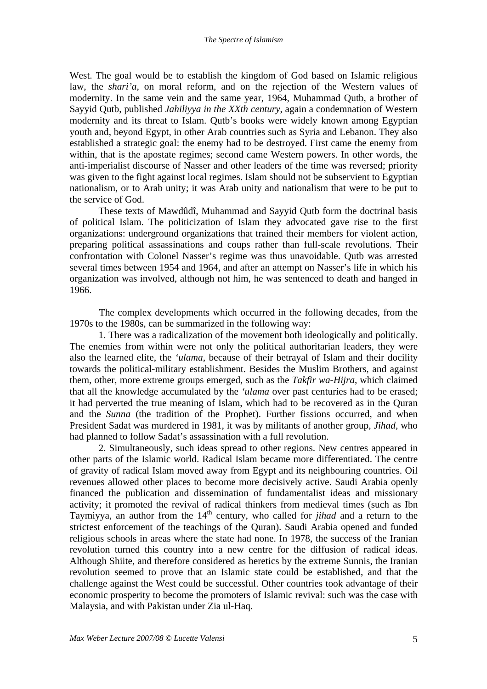West. The goal would be to establish the kingdom of God based on Islamic religious law, the *shari'a*, on moral reform, and on the rejection of the Western values of modernity. In the same vein and the same year, 1964, Muhammad Qutb, a brother of Sayyid Qutb, published *Jahiliyya in the XXth century*, again a condemnation of Western modernity and its threat to Islam. Qutb's books were widely known among Egyptian youth and, beyond Egypt, in other Arab countries such as Syria and Lebanon. They also established a strategic goal: the enemy had to be destroyed. First came the enemy from within, that is the apostate regimes; second came Western powers. In other words, the anti-imperialist discourse of Nasser and other leaders of the time was reversed; priority was given to the fight against local regimes. Islam should not be subservient to Egyptian nationalism, or to Arab unity; it was Arab unity and nationalism that were to be put to the service of God.

These texts of Mawdûdî, Muhammad and Sayyid Qutb form the doctrinal basis of political Islam. The politicization of Islam they advocated gave rise to the first organizations: underground organizations that trained their members for violent action, preparing political assassinations and coups rather than full-scale revolutions. Their confrontation with Colonel Nasser's regime was thus unavoidable. Qutb was arrested several times between 1954 and 1964, and after an attempt on Nasser's life in which his organization was involved, although not him, he was sentenced to death and hanged in 1966.

The complex developments which occurred in the following decades, from the 1970s to the 1980s, can be summarized in the following way:

1. There was a radicalization of the movement both ideologically and politically. The enemies from within were not only the political authoritarian leaders, they were also the learned elite, the *'ulama*, because of their betrayal of Islam and their docility towards the political-military establishment. Besides the Muslim Brothers, and against them, other, more extreme groups emerged, such as the *Takfir wa-Hijra*, which claimed that all the knowledge accumulated by the *'ulama* over past centuries had to be erased; it had perverted the true meaning of Islam, which had to be recovered as in the Quran and the *Sunna* (the tradition of the Prophet). Further fissions occurred, and when President Sadat was murdered in 1981, it was by militants of another group, *Jihad,* who had planned to follow Sadat's assassination with a full revolution.

2. Simultaneously, such ideas spread to other regions. New centres appeared in other parts of the Islamic world. Radical Islam became more differentiated. The centre of gravity of radical Islam moved away from Egypt and its neighbouring countries. Oil revenues allowed other places to become more decisively active. Saudi Arabia openly financed the publication and dissemination of fundamentalist ideas and missionary activity; it promoted the revival of radical thinkers from medieval times (such as Ibn Taymiyya, an author from the 14<sup>th</sup> century, who called for *jihad* and a return to the strictest enforcement of the teachings of the Quran). Saudi Arabia opened and funded religious schools in areas where the state had none. In 1978, the success of the Iranian revolution turned this country into a new centre for the diffusion of radical ideas. Although Shiite, and therefore considered as heretics by the extreme Sunnis, the Iranian revolution seemed to prove that an Islamic state could be established, and that the challenge against the West could be successful. Other countries took advantage of their economic prosperity to become the promoters of Islamic revival: such was the case with Malaysia, and with Pakistan under Zia ul-Haq.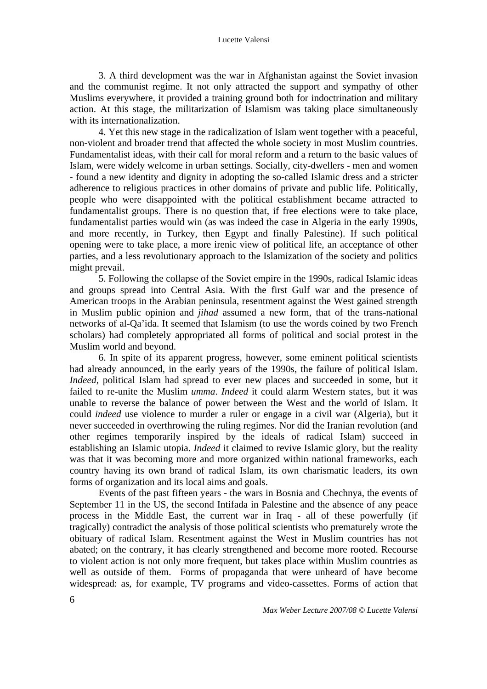#### Lucette Valensi

3. A third development was the war in Afghanistan against the Soviet invasion and the communist regime. It not only attracted the support and sympathy of other Muslims everywhere, it provided a training ground both for indoctrination and military action. At this stage, the militarization of Islamism was taking place simultaneously with its internationalization.

4. Yet this new stage in the radicalization of Islam went together with a peaceful, non-violent and broader trend that affected the whole society in most Muslim countries. Fundamentalist ideas, with their call for moral reform and a return to the basic values of Islam, were widely welcome in urban settings. Socially, city-dwellers - men and women - found a new identity and dignity in adopting the so-called Islamic dress and a stricter adherence to religious practices in other domains of private and public life. Politically, people who were disappointed with the political establishment became attracted to fundamentalist groups. There is no question that, if free elections were to take place, fundamentalist parties would win (as was indeed the case in Algeria in the early 1990s, and more recently, in Turkey, then Egypt and finally Palestine). If such political opening were to take place, a more irenic view of political life, an acceptance of other parties, and a less revolutionary approach to the Islamization of the society and politics might prevail.

5. Following the collapse of the Soviet empire in the 1990s, radical Islamic ideas and groups spread into Central Asia. With the first Gulf war and the presence of American troops in the Arabian peninsula, resentment against the West gained strength in Muslim public opinion and *jihad* assumed a new form, that of the trans-national networks of al-Qa'ida. It seemed that Islamism (to use the words coined by two French scholars) had completely appropriated all forms of political and social protest in the Muslim world and beyond.

6. In spite of its apparent progress, however, some eminent political scientists had already announced, in the early years of the 1990s, the failure of political Islam. *Indeed,* political Islam had spread to ever new places and succeeded in some, but it failed to re-unite the Muslim *umma*. *Indeed* it could alarm Western states, but it was unable to reverse the balance of power between the West and the world of Islam. It could *indeed* use violence to murder a ruler or engage in a civil war (Algeria), but it never succeeded in overthrowing the ruling regimes. Nor did the Iranian revolution (and other regimes temporarily inspired by the ideals of radical Islam) succeed in establishing an Islamic utopia. *Indeed* it claimed to revive Islamic glory, but the reality was that it was becoming more and more organized within national frameworks, each country having its own brand of radical Islam, its own charismatic leaders, its own forms of organization and its local aims and goals.

 Events of the past fifteen years - the wars in Bosnia and Chechnya, the events of September 11 in the US, the second Intifada in Palestine and the absence of any peace process in the Middle East, the current war in Iraq - all of these powerfully (if tragically) contradict the analysis of those political scientists who prematurely wrote the obituary of radical Islam. Resentment against the West in Muslim countries has not abated; on the contrary, it has clearly strengthened and become more rooted. Recourse to violent action is not only more frequent, but takes place within Muslim countries as well as outside of them. Forms of propaganda that were unheard of have become widespread: as, for example, TV programs and video-cassettes. Forms of action that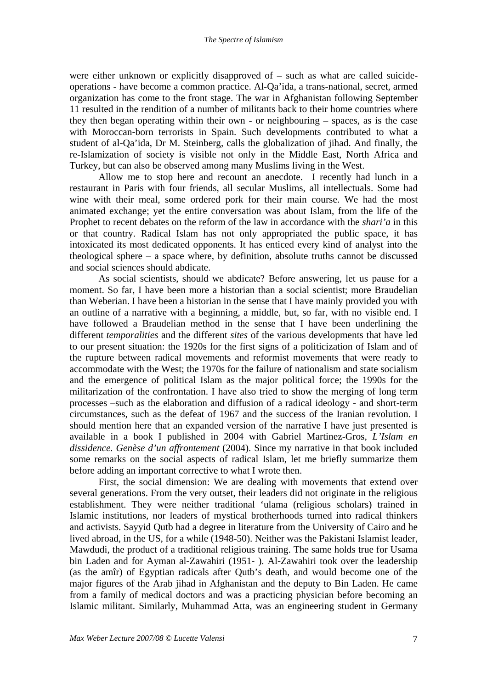were either unknown or explicitly disapproved of – such as what are called suicideoperations - have become a common practice. Al-Qa'ida, a trans-national, secret, armed organization has come to the front stage. The war in Afghanistan following September 11 resulted in the rendition of a number of militants back to their home countries where they then began operating within their own - or neighbouring – spaces, as is the case with Moroccan-born terrorists in Spain. Such developments contributed to what a student of al-Qa'ida, Dr M. Steinberg, calls the globalization of jihad. And finally, the re-Islamization of society is visible not only in the Middle East, North Africa and Turkey, but can also be observed among many Muslims living in the West.

Allow me to stop here and recount an anecdote. I recently had lunch in a restaurant in Paris with four friends, all secular Muslims, all intellectuals. Some had wine with their meal, some ordered pork for their main course. We had the most animated exchange; yet the entire conversation was about Islam, from the life of the Prophet to recent debates on the reform of the law in accordance with the *shari'a* in this or that country. Radical Islam has not only appropriated the public space, it has intoxicated its most dedicated opponents. It has enticed every kind of analyst into the theological sphere – a space where, by definition, absolute truths cannot be discussed and social sciences should abdicate.

As social scientists, should we abdicate? Before answering, let us pause for a moment. So far, I have been more a historian than a social scientist; more Braudelian than Weberian. I have been a historian in the sense that I have mainly provided you with an outline of a narrative with a beginning, a middle, but, so far, with no visible end. I have followed a Braudelian method in the sense that I have been underlining the different *temporalities* and the different *sites* of the various developments that have led to our present situation: the 1920s for the first signs of a politicization of Islam and of the rupture between radical movements and reformist movements that were ready to accommodate with the West; the 1970s for the failure of nationalism and state socialism and the emergence of political Islam as the major political force; the 1990s for the militarization of the confrontation. I have also tried to show the merging of long term processes –such as the elaboration and diffusion of a radical ideology - and short-term circumstances, such as the defeat of 1967 and the success of the Iranian revolution. I should mention here that an expanded version of the narrative I have just presented is available in a book I published in 2004 with Gabriel Martinez-Gros, *L'Islam en dissidence. Genèse d'un affrontement* (2004). Since my narrative in that book included some remarks on the social aspects of radical Islam, let me briefly summarize them before adding an important corrective to what I wrote then.

First, the social dimension: We are dealing with movements that extend over several generations. From the very outset, their leaders did not originate in the religious establishment. They were neither traditional 'ulama (religious scholars) trained in Islamic institutions, nor leaders of mystical brotherhoods turned into radical thinkers and activists. Sayyid Qutb had a degree in literature from the University of Cairo and he lived abroad, in the US, for a while (1948-50). Neither was the Pakistani Islamist leader, Mawdudi, the product of a traditional religious training. The same holds true for Usama bin Laden and for Ayman al-Zawahiri (1951- ). Al-Zawahiri took over the leadership (as the amîr) of Egyptian radicals after Qutb's death, and would become one of the major figures of the Arab jihad in Afghanistan and the deputy to Bin Laden. He came from a family of medical doctors and was a practicing physician before becoming an Islamic militant. Similarly, Muhammad Atta, was an engineering student in Germany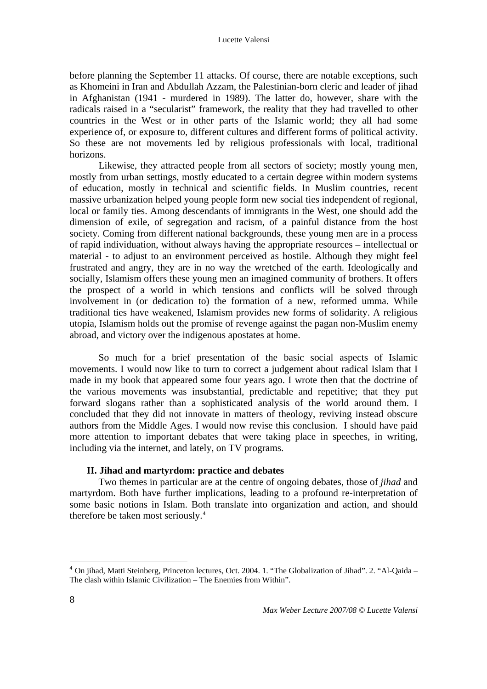<span id="page-13-0"></span>before planning the September 11 attacks. Of course, there are notable exceptions, such as Khomeini in Iran and Abdullah Azzam, the Palestinian-born cleric and leader of jihad in Afghanistan (1941 - murdered in 1989). The latter do, however, share with the radicals raised in a "secularist" framework, the reality that they had travelled to other countries in the West or in other parts of the Islamic world; they all had some experience of, or exposure to, different cultures and different forms of political activity. So these are not movements led by religious professionals with local, traditional horizons.

Likewise, they attracted people from all sectors of society; mostly young men, mostly from urban settings, mostly educated to a certain degree within modern systems of education, mostly in technical and scientific fields. In Muslim countries, recent massive urbanization helped young people form new social ties independent of regional, local or family ties. Among descendants of immigrants in the West, one should add the dimension of exile, of segregation and racism, of a painful distance from the host society. Coming from different national backgrounds, these young men are in a process of rapid individuation, without always having the appropriate resources – intellectual or material - to adjust to an environment perceived as hostile. Although they might feel frustrated and angry, they are in no way the wretched of the earth. Ideologically and socially, Islamism offers these young men an imagined community of brothers. It offers the prospect of a world in which tensions and conflicts will be solved through involvement in (or dedication to) the formation of a new, reformed umma. While traditional ties have weakened, Islamism provides new forms of solidarity. A religious utopia, Islamism holds out the promise of revenge against the pagan non-Muslim enemy abroad, and victory over the indigenous apostates at home.

So much for a brief presentation of the basic social aspects of Islamic movements. I would now like to turn to correct a judgement about radical Islam that I made in my book that appeared some four years ago. I wrote then that the doctrine of the various movements was insubstantial, predictable and repetitive; that they put forward slogans rather than a sophisticated analysis of the world around them. I concluded that they did not innovate in matters of theology, reviving instead obscure authors from the Middle Ages. I would now revise this conclusion. I should have paid more attention to important debates that were taking place in speeches, in writing, including via the internet, and lately, on TV programs.

# **II. Jihad and martyrdom: practice and debates**

Two themes in particular are at the centre of ongoing debates, those of *jihad* and martyrdom. Both have further implications, leading to a profound re-interpretation of some basic notions in Islam. Both translate into organization and action, and should therefore be taken most seriously.<sup>[4](#page-13-0)</sup>

<sup>4</sup> On jihad, Matti Steinberg, Princeton lectures, Oct. 2004. 1. "The Globalization of Jihad". 2. "Al-Qaida – The clash within Islamic Civilization – The Enemies from Within".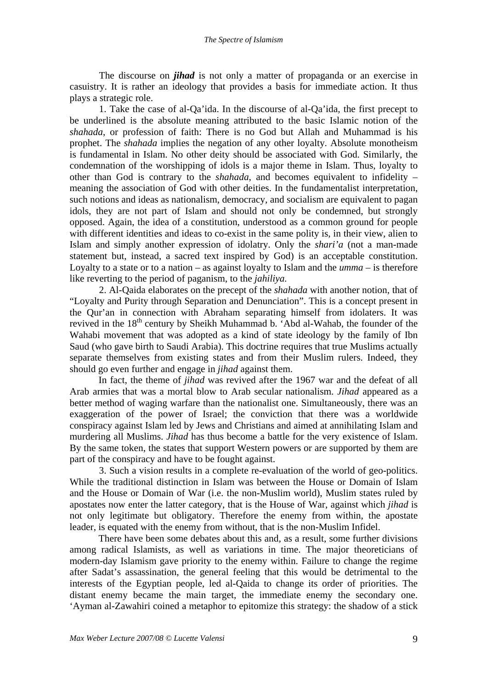The discourse on *jihad* is not only a matter of propaganda or an exercise in casuistry. It is rather an ideology that provides a basis for immediate action. It thus plays a strategic role.

1. Take the case of al-Qa'ida. In the discourse of al-Qa'ida, the first precept to be underlined is the absolute meaning attributed to the basic Islamic notion of the *shahada*, or profession of faith: There is no God but Allah and Muhammad is his prophet. The *shahada* implies the negation of any other loyalty. Absolute monotheism is fundamental in Islam. No other deity should be associated with God. Similarly, the condemnation of the worshipping of idols is a major theme in Islam. Thus, loyalty to other than God is contrary to the *shahada*, and becomes equivalent to infidelity – meaning the association of God with other deities. In the fundamentalist interpretation, such notions and ideas as nationalism, democracy, and socialism are equivalent to pagan idols, they are not part of Islam and should not only be condemned, but strongly opposed. Again, the idea of a constitution, understood as a common ground for people with different identities and ideas to co-exist in the same polity is, in their view, alien to Islam and simply another expression of idolatry. Only the *shari'a* (not a man-made statement but, instead, a sacred text inspired by God) is an acceptable constitution. Loyalty to a state or to a nation – as against loyalty to Islam and the *umma* – is therefore like reverting to the period of paganism, to the *jahiliya.*

2. Al-Qaida elaborates on the precept of the *shahada* with another notion, that of "Loyalty and Purity through Separation and Denunciation". This is a concept present in the Qur'an in connection with Abraham separating himself from idolaters. It was revived in the 18<sup>th</sup> century by Sheikh Muhammad b. 'Abd al-Wahab, the founder of the Wahabi movement that was adopted as a kind of state ideology by the family of Ibn Saud (who gave birth to Saudi Arabia). This doctrine requires that true Muslims actually separate themselves from existing states and from their Muslim rulers. Indeed, they should go even further and engage in *jihad* against them.

In fact, the theme of *jihad* was revived after the 1967 war and the defeat of all Arab armies that was a mortal blow to Arab secular nationalism. *Jihad* appeared as a better method of waging warfare than the nationalist one. Simultaneously, there was an exaggeration of the power of Israel; the conviction that there was a worldwide conspiracy against Islam led by Jews and Christians and aimed at annihilating Islam and murdering all Muslims. *Jihad* has thus become a battle for the very existence of Islam. By the same token, the states that support Western powers or are supported by them are part of the conspiracy and have to be fought against.

3. Such a vision results in a complete re-evaluation of the world of geo-politics. While the traditional distinction in Islam was between the House or Domain of Islam and the House or Domain of War (i.e. the non-Muslim world), Muslim states ruled by apostates now enter the latter category, that is the House of War, against which *jihad* is not only legitimate but obligatory. Therefore the enemy from within, the apostate leader, is equated with the enemy from without, that is the non-Muslim Infidel.

 There have been some debates about this and, as a result, some further divisions among radical Islamists, as well as variations in time. The major theoreticians of modern-day Islamism gave priority to the enemy within. Failure to change the regime after Sadat's assassination, the general feeling that this would be detrimental to the interests of the Egyptian people, led al-Qaida to change its order of priorities. The distant enemy became the main target, the immediate enemy the secondary one. 'Ayman al-Zawahiri coined a metaphor to epitomize this strategy: the shadow of a stick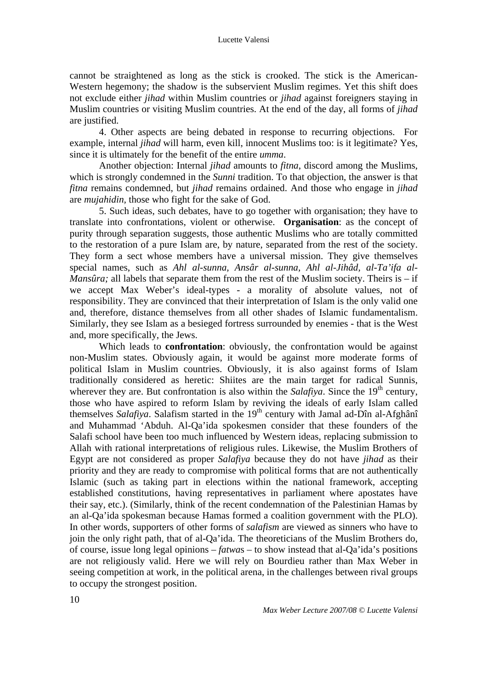#### Lucette Valensi

cannot be straightened as long as the stick is crooked. The stick is the American-Western hegemony; the shadow is the subservient Muslim regimes. Yet this shift does not exclude either *jihad* within Muslim countries or *jihad* against foreigners staying in Muslim countries or visiting Muslim countries. At the end of the day, all forms of *jihad*  are justified.

4. Other aspects are being debated in response to recurring objections. For example, internal *jihad* will harm, even kill, innocent Muslims too: is it legitimate? Yes, since it is ultimately for the benefit of the entire *umma*.

Another objection: Internal *jihad* amounts to *fitna*, discord among the Muslims, which is strongly condemned in the *Sunni* tradition. To that objection, the answer is that *fitna* remains condemned, but *jihad* remains ordained. And those who engage in *jihad* are *mujahidin,* those who fight for the sake of God.

5. Such ideas, such debates, have to go together with organisation; they have to translate into confrontations, violent or otherwise. **Organisation**: as the concept of purity through separation suggests, those authentic Muslims who are totally committed to the restoration of a pure Islam are, by nature, separated from the rest of the society. They form a sect whose members have a universal mission. They give themselves special names, such as *Ahl al-sunna, Ansâr al-sunna, Ahl al-Jihâd, al-Ta'ifa al-Mansûra*; all labels that separate them from the rest of the Muslim society. Theirs is – if we accept Max Weber's ideal-types - a morality of absolute values, not of responsibility. They are convinced that their interpretation of Islam is the only valid one and, therefore, distance themselves from all other shades of Islamic fundamentalism. Similarly, they see Islam as a besieged fortress surrounded by enemies - that is the West and, more specifically, the Jews.

Which leads to **confrontation**: obviously, the confrontation would be against non-Muslim states. Obviously again, it would be against more moderate forms of political Islam in Muslim countries. Obviously, it is also against forms of Islam traditionally considered as heretic: Shiites are the main target for radical Sunnis, wherever they are. But confrontation is also within the *Salafiya*. Since the 19<sup>th</sup> century, those who have aspired to reform Islam by reviving the ideals of early Islam called themselves *Salafiya*. Salafism started in the 19<sup>th</sup> century with Jamal ad-Dîn al-Afghânî and Muhammad 'Abduh. Al-Qa'ida spokesmen consider that these founders of the Salafi school have been too much influenced by Western ideas, replacing submission to Allah with rational interpretations of religious rules. Likewise, the Muslim Brothers of Egypt are not considered as proper *Salafiya* because they do not have *jihad* as their priority and they are ready to compromise with political forms that are not authentically Islamic (such as taking part in elections within the national framework, accepting established constitutions, having representatives in parliament where apostates have their say, etc.). (Similarly, think of the recent condemnation of the Palestinian Hamas by an al-Qa'ida spokesman because Hamas formed a coalition government with the PLO). In other words, supporters of other forms of *salafism* are viewed as sinners who have to join the only right path, that of al-Qa'ida. The theoreticians of the Muslim Brothers do, of course, issue long legal opinions – *fatwa*s – to show instead that al-Qa'ida's positions are not religiously valid. Here we will rely on Bourdieu rather than Max Weber in seeing competition at work, in the political arena, in the challenges between rival groups to occupy the strongest position.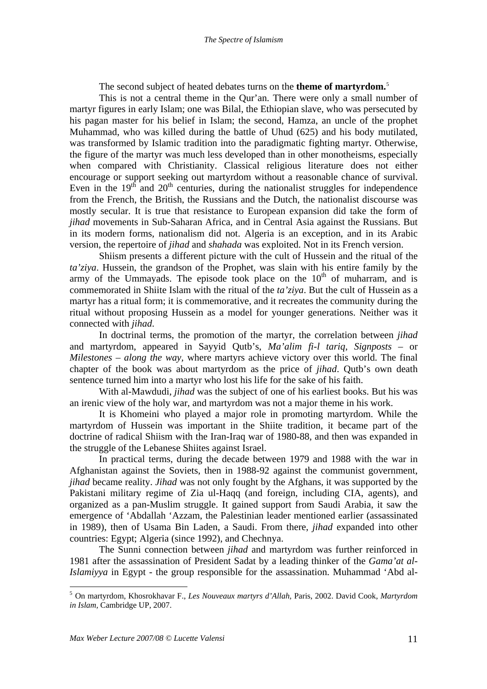The second subject of heated debates turns on the **theme of martyrdom.**[5](#page-16-0)

<span id="page-16-0"></span>This is not a central theme in the Qur'an. There were only a small number of martyr figures in early Islam; one was Bilal, the Ethiopian slave, who was persecuted by his pagan master for his belief in Islam; the second, Hamza, an uncle of the prophet Muhammad, who was killed during the battle of Uhud (625) and his body mutilated, was transformed by Islamic tradition into the paradigmatic fighting martyr. Otherwise, the figure of the martyr was much less developed than in other monotheisms, especially when compared with Christianity. Classical religious literature does not either encourage or support seeking out martyrdom without a reasonable chance of survival. Even in the  $19<sup>th</sup>$  and  $20<sup>th</sup>$  centuries, during the nationalist struggles for independence from the French, the British, the Russians and the Dutch, the nationalist discourse was mostly secular. It is true that resistance to European expansion did take the form of *jihad* movements in Sub-Saharan Africa, and in Central Asia against the Russians. But in its modern forms, nationalism did not. Algeria is an exception, and in its Arabic version, the repertoire of *jihad* and *shahada* was exploited. Not in its French version.

Shiism presents a different picture with the cult of Hussein and the ritual of the *ta'ziya*. Hussein, the grandson of the Prophet, was slain with his entire family by the army of the Ummayads. The episode took place on the  $10<sup>th</sup>$  of muharram, and is commemorated in Shiite Islam with the ritual of the *ta'ziya*. But the cult of Hussein as a martyr has a ritual form; it is commemorative, and it recreates the community during the ritual without proposing Hussein as a model for younger generations. Neither was it connected with *jihad*.

In doctrinal terms, the promotion of the martyr, the correlation between *jihad* and martyrdom, appeared in Sayyid Qutb's, *Ma'alim fi-l tariq*, *Signposts –* or *Milestones – along the way,* where martyrs achieve victory over this world. The final chapter of the book was about martyrdom as the price of *jihad*. Qutb's own death sentence turned him into a martyr who lost his life for the sake of his faith.

With al-Mawdudi, *jihad* was the subject of one of his earliest books. But his was an irenic view of the holy war, and martyrdom was not a major theme in his work.

It is Khomeini who played a major role in promoting martyrdom. While the martyrdom of Hussein was important in the Shiite tradition, it became part of the doctrine of radical Shiism with the Iran-Iraq war of 1980-88, and then was expanded in the struggle of the Lebanese Shiites against Israel.

In practical terms, during the decade between 1979 and 1988 with the war in Afghanistan against the Soviets, then in 1988-92 against the communist government, *jihad* became reality. *Jihad* was not only fought by the Afghans, it was supported by the Pakistani military regime of Zia ul-Haqq (and foreign, including CIA, agents), and organized as a pan-Muslim struggle. It gained support from Saudi Arabia, it saw the emergence of 'Abdallah 'Azzam, the Palestinian leader mentioned earlier (assassinated in 1989), then of Usama Bin Laden, a Saudi. From there, *jihad* expanded into other countries: Egypt; Algeria (since 1992), and Chechnya.

The Sunni connection between *jihad* and martyrdom was further reinforced in 1981 after the assassination of President Sadat by a leading thinker of the *Gama'at al-Islamiyya* in Egypt - the group responsible for the assassination. Muhammad 'Abd al-

<sup>5</sup> On martyrdom, Khosrokhavar F., *Les Nouveaux martyrs d'Allah,* Paris, 2002. David Cook, *Martyrdom in Islam,* Cambridge UP, 2007.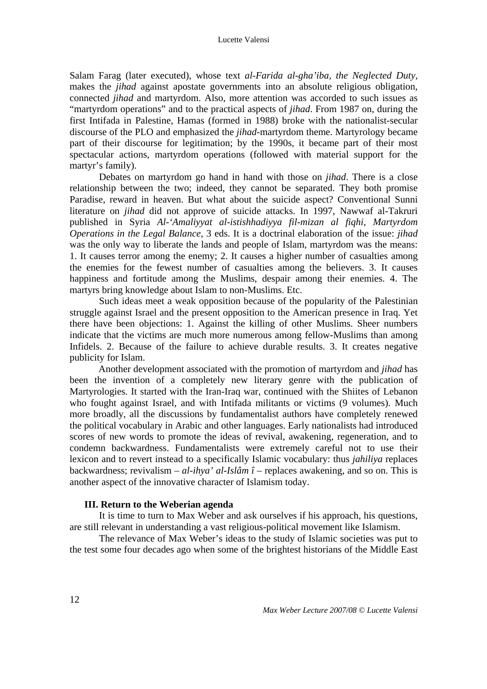Salam Farag (later executed), whose text *al-Farida al-gha'iba, the Neglected Duty,*  makes the *jihad* against apostate governments into an absolute religious obligation, connected *jihad* and martyrdom. Also, more attention was accorded to such issues as "martyrdom operations" and to the practical aspects of *jihad*. From 1987 on, during the first Intifada in Palestine, Hamas (formed in 1988) broke with the nationalist-secular discourse of the PLO and emphasized the *jihad*-martyrdom theme. Martyrology became part of their discourse for legitimation; by the 1990s, it became part of their most spectacular actions, martyrdom operations (followed with material support for the martyr's family).

Debates on martyrdom go hand in hand with those on *jihad*. There is a close relationship between the two; indeed, they cannot be separated. They both promise Paradise, reward in heaven. But what about the suicide aspect? Conventional Sunni literature on *jihad* did not approve of suicide attacks. In 1997, Nawwaf al-Takruri published in Syria *Al-'Amaliyyat al-istishhadiyya fil-mizan al fiqhi, Martyrdom Operations in the Legal Balance*, 3 eds. It is a doctrinal elaboration of the issue: *jihad* was the only way to liberate the lands and people of Islam, martyrdom was the means: 1. It causes terror among the enemy; 2. It causes a higher number of casualties among the enemies for the fewest number of casualties among the believers. 3. It causes happiness and fortitude among the Muslims, despair among their enemies. 4. The martyrs bring knowledge about Islam to non-Muslims. Etc.

Such ideas meet a weak opposition because of the popularity of the Palestinian struggle against Israel and the present opposition to the American presence in Iraq. Yet there have been objections: 1. Against the killing of other Muslims. Sheer numbers indicate that the victims are much more numerous among fellow-Muslims than among Infidels. 2. Because of the failure to achieve durable results. 3. It creates negative publicity for Islam.

Another development associated with the promotion of martyrdom and *jihad* has been the invention of a completely new literary genre with the publication of Martyrologies. It started with the Iran-Iraq war, continued with the Shiites of Lebanon who fought against Israel, and with Intifada militants or victims (9 volumes). Much more broadly, all the discussions by fundamentalist authors have completely renewed the political vocabulary in Arabic and other languages. Early nationalists had introduced scores of new words to promote the ideas of revival, awakening, regeneration, and to condemn backwardness. Fundamentalists were extremely careful not to use their lexicon and to revert instead to a specifically Islamic vocabulary: thus *jahiliya* replaces backwardness; revivalism – *al-ihya' al-Islâm î* – replaces awakening, and so on. This is another aspect of the innovative character of Islamism today.

### **III. Return to the Weberian agenda**

It is time to turn to Max Weber and ask ourselves if his approach, his questions, are still relevant in understanding a vast religious-political movement like Islamism.

The relevance of Max Weber's ideas to the study of Islamic societies was put to the test some four decades ago when some of the brightest historians of the Middle East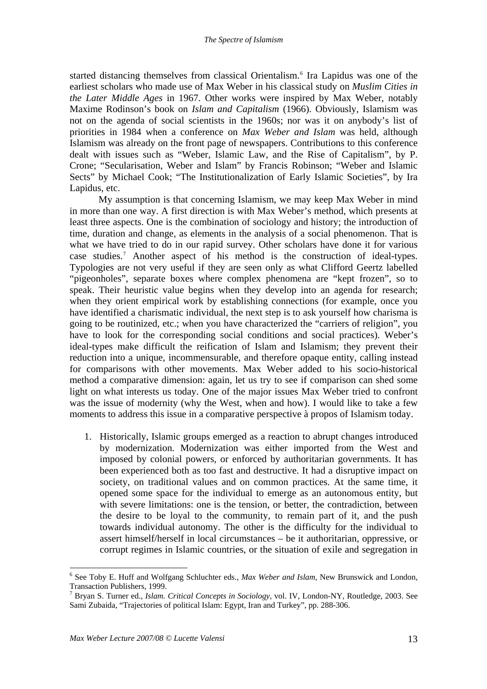<span id="page-18-0"></span>started distancing themselves from classical Orientalism.<sup>[6](#page-18-0)</sup> Ira Lapidus was one of the earliest scholars who made use of Max Weber in his classical study on *Muslim Cities in the Later Middle Ages* in 1967. Other works were inspired by Max Weber, notably Maxime Rodinson's book on *Islam and Capitalism* (1966). Obviously, Islamism was not on the agenda of social scientists in the 1960s; nor was it on anybody's list of priorities in 1984 when a conference on *Max Weber and Islam* was held, although Islamism was already on the front page of newspapers. Contributions to this conference dealt with issues such as "Weber, Islamic Law, and the Rise of Capitalism", by P. Crone; "Secularisation, Weber and Islam" by Francis Robinson; "Weber and Islamic Sects" by Michael Cook; "The Institutionalization of Early Islamic Societies", by Ira Lapidus, etc.

 My assumption is that concerning Islamism, we may keep Max Weber in mind in more than one way. A first direction is with Max Weber's method, which presents at least three aspects. One is the combination of sociology and history; the introduction of time, duration and change, as elements in the analysis of a social phenomenon. That is what we have tried to do in our rapid survey. Other scholars have done it for various case studies[.7](#page-18-0) Another aspect of his method is the construction of ideal-types. Typologies are not very useful if they are seen only as what Clifford Geertz labelled "pigeonholes", separate boxes where complex phenomena are "kept frozen", so to speak. Their heuristic value begins when they develop into an agenda for research; when they orient empirical work by establishing connections (for example, once you have identified a charismatic individual, the next step is to ask yourself how charisma is going to be routinized, etc.; when you have characterized the "carriers of religion", you have to look for the corresponding social conditions and social practices). Weber's ideal-types make difficult the reification of Islam and Islamism; they prevent their reduction into a unique, incommensurable, and therefore opaque entity, calling instead for comparisons with other movements. Max Weber added to his socio-historical method a comparative dimension: again, let us try to see if comparison can shed some light on what interests us today. One of the major issues Max Weber tried to confront was the issue of modernity (why the West, when and how). I would like to take a few moments to address this issue in a comparative perspective à propos of Islamism today.

1. Historically, Islamic groups emerged as a reaction to abrupt changes introduced by modernization. Modernization was either imported from the West and imposed by colonial powers, or enforced by authoritarian governments. It has been experienced both as too fast and destructive. It had a disruptive impact on society, on traditional values and on common practices. At the same time, it opened some space for the individual to emerge as an autonomous entity, but with severe limitations: one is the tension, or better, the contradiction, between the desire to be loyal to the community, to remain part of it, and the push towards individual autonomy. The other is the difficulty for the individual to assert himself/herself in local circumstances – be it authoritarian, oppressive, or corrupt regimes in Islamic countries, or the situation of exile and segregation in

<sup>6</sup> See Toby E. Huff and Wolfgang Schluchter eds., *Max Weber and Islam*, New Brunswick and London, Transaction Publishers, 1999.

<sup>7</sup> Bryan S. Turner ed., *Islam. Critical Concepts in Sociology,* vol. IV, London-NY, Routledge, 2003. See Sami Zubaida, "Trajectories of political Islam: Egypt, Iran and Turkey", pp. 288-306.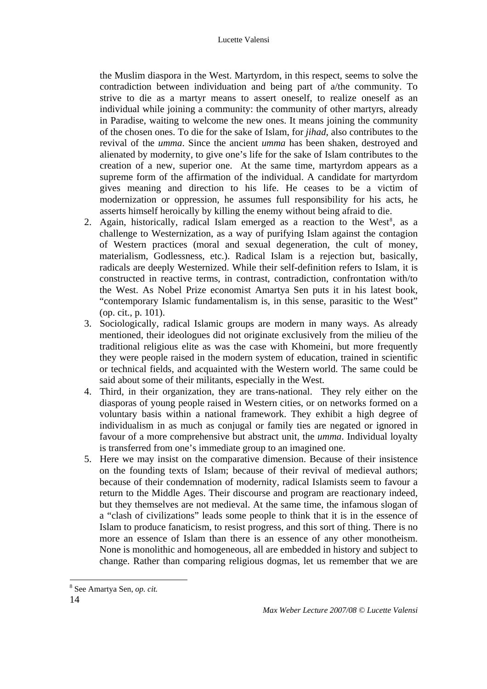<span id="page-19-0"></span>the Muslim diaspora in the West. Martyrdom, in this respect, seems to solve the contradiction between individuation and being part of a/the community. To strive to die as a martyr means to assert oneself, to realize oneself as an individual while joining a community: the community of other martyrs, already in Paradise, waiting to welcome the new ones. It means joining the community of the chosen ones. To die for the sake of Islam, for *jihad*, also contributes to the revival of the *umma*. Since the ancient *umma* has been shaken, destroyed and alienated by modernity, to give one's life for the sake of Islam contributes to the creation of a new, superior one. At the same time, martyrdom appears as a supreme form of the affirmation of the individual. A candidate for martyrdom gives meaning and direction to his life. He ceases to be a victim of modernization or oppression, he assumes full responsibility for his acts, he asserts himself heroically by killing the enemy without being afraid to die.

- 2. Again, historically, radical Islam emerged as a reaction to the West<sup>[8](#page-19-0)</sup>, as a challenge to Westernization, as a way of purifying Islam against the contagion of Western practices (moral and sexual degeneration, the cult of money, materialism, Godlessness, etc.). Radical Islam is a rejection but, basically, radicals are deeply Westernized. While their self-definition refers to Islam, it is constructed in reactive terms, in contrast, contradiction, confrontation with/to the West. As Nobel Prize economist Amartya Sen puts it in his latest book, "contemporary Islamic fundamentalism is, in this sense, parasitic to the West" (op. cit., p. 101).
- 3. Sociologically, radical Islamic groups are modern in many ways. As already mentioned, their ideologues did not originate exclusively from the milieu of the traditional religious elite as was the case with Khomeini, but more frequently they were people raised in the modern system of education, trained in scientific or technical fields, and acquainted with the Western world. The same could be said about some of their militants, especially in the West.
- 4. Third, in their organization, they are trans-national. They rely either on the diasporas of young people raised in Western cities, or on networks formed on a voluntary basis within a national framework. They exhibit a high degree of individualism in as much as conjugal or family ties are negated or ignored in favour of a more comprehensive but abstract unit, the *umma*. Individual loyalty is transferred from one's immediate group to an imagined one.
- 5. Here we may insist on the comparative dimension. Because of their insistence on the founding texts of Islam; because of their revival of medieval authors; because of their condemnation of modernity, radical Islamists seem to favour a return to the Middle Ages. Their discourse and program are reactionary indeed, but they themselves are not medieval. At the same time, the infamous slogan of a "clash of civilizations" leads some people to think that it is in the essence of Islam to produce fanaticism, to resist progress, and this sort of thing. There is no more an essence of Islam than there is an essence of any other monotheism. None is monolithic and homogeneous, all are embedded in history and subject to change. Rather than comparing religious dogmas, let us remember that we are

<sup>8</sup> See Amartya Sen, *op. cit.*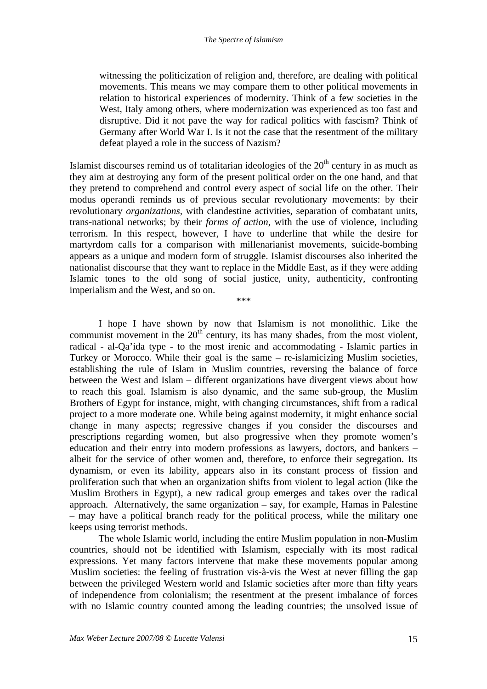witnessing the politicization of religion and, therefore, are dealing with political movements. This means we may compare them to other political movements in relation to historical experiences of modernity. Think of a few societies in the West, Italy among others, where modernization was experienced as too fast and disruptive. Did it not pave the way for radical politics with fascism? Think of Germany after World War I. Is it not the case that the resentment of the military defeat played a role in the success of Nazism?

Islamist discourses remind us of totalitarian ideologies of the  $20<sup>th</sup>$  century in as much as they aim at destroying any form of the present political order on the one hand, and that they pretend to comprehend and control every aspect of social life on the other. Their modus operandi reminds us of previous secular revolutionary movements: by their revolutionary *organizations,* with clandestine activities, separation of combatant units, trans-national networks; by their *forms of action*, with the use of violence, including terrorism. In this respect, however, I have to underline that while the desire for martyrdom calls for a comparison with millenarianist movements, suicide-bombing appears as a unique and modern form of struggle. Islamist discourses also inherited the nationalist discourse that they want to replace in the Middle East, as if they were adding Islamic tones to the old song of social justice, unity, authenticity, confronting imperialism and the West, and so on.

\*\*\*

I hope I have shown by now that Islamism is not monolithic. Like the communist movement in the  $20<sup>th</sup>$  century, its has many shades, from the most violent, radical - al-Qa'ida type - to the most irenic and accommodating - Islamic parties in Turkey or Morocco. While their goal is the same – re-islamicizing Muslim societies, establishing the rule of Islam in Muslim countries, reversing the balance of force between the West and Islam – different organizations have divergent views about how to reach this goal. Islamism is also dynamic, and the same sub-group, the Muslim Brothers of Egypt for instance, might, with changing circumstances, shift from a radical project to a more moderate one. While being against modernity, it might enhance social change in many aspects; regressive changes if you consider the discourses and prescriptions regarding women, but also progressive when they promote women's education and their entry into modern professions as lawyers, doctors, and bankers – albeit for the service of other women and, therefore, to enforce their segregation. Its dynamism, or even its lability, appears also in its constant process of fission and proliferation such that when an organization shifts from violent to legal action (like the Muslim Brothers in Egypt), a new radical group emerges and takes over the radical approach. Alternatively, the same organization – say, for example, Hamas in Palestine – may have a political branch ready for the political process, while the military one keeps using terrorist methods.

The whole Islamic world, including the entire Muslim population in non-Muslim countries, should not be identified with Islamism, especially with its most radical expressions. Yet many factors intervene that make these movements popular among Muslim societies: the feeling of frustration vis-à-vis the West at never filling the gap between the privileged Western world and Islamic societies after more than fifty years of independence from colonialism; the resentment at the present imbalance of forces with no Islamic country counted among the leading countries; the unsolved issue of